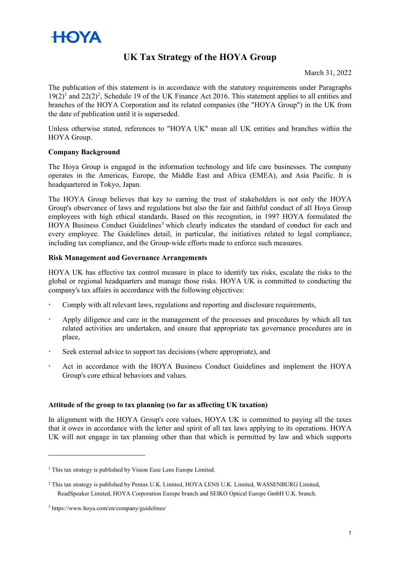

# **UK Tax Strategy of the HOYA Group**

March 31, 2022

The publication of this statement is in accordance with the statutory requirements under Paragraphs  $19(2)^1$  $19(2)^1$  $19(2)^1$  $19(2)^1$  and  $22(2)^2$ , Schedule 19 of the UK Finance Act 2016. This statement applies to all entities and branches of the HOYA Corporation and its related companies (the "HOYA Group") in the UK from the date of publication until it is superseded.

Unless otherwise stated, references to "HOYA UK" mean all UK entities and branches within the HOYA Group.

#### **Company Background**

The Hoya Group is engaged in the information technology and life care businesses. The company operates in the Americas, Europe, the Middle East and Africa (EMEA), and Asia Pacific. It is headquartered in Tokyo, Japan.

The HOYA Group believes that key to earning the trust of stakeholders is not only the HOYA Group's observance of laws and regulations but also the fair and faithful conduct of all Hoya Group employees with high ethical standards. Based on this recognition, in 1997 HOYA formulated the HOYA Business Conduct Guidelines<sup>[3](#page-0-2)</sup> which clearly indicates the standard of conduct for each and every employee. The Guidelines detail, in particular, the initiatives related to legal compliance, including tax compliance, and the Group-wide efforts made to enforce such measures.

#### **Risk Management and Governance Arrangements**

HOYA UK has effective tax control measure in place to identify tax risks, escalate the risks to the global or regional headquarters and manage those risks. HOYA UK is committed to conducting the company's tax affairs in accordance with the following objectives:

- Comply with all relevant laws, regulations and reporting and disclosure requirements,
- Apply diligence and care in the management of the processes and procedures by which all tax related activities are undertaken, and ensure that appropriate tax governance procedures are in place,
- Seek external advice to support tax decisions (where appropriate), and
- Act in accordance with the HOYA Business Conduct Guidelines and implement the HOYA Group's core ethical behaviors and values.

#### **Attitude of the group to tax planning (so far as affecting UK taxation)**

In alignment with the HOYA Group's core values, HOYA UK is committed to paying all the taxes that it owes in accordance with the letter and spirit of all tax laws applying to its operations. HOYA UK will not engage in tax planning other than that which is permitted by law and which supports

<span id="page-0-0"></span><sup>&</sup>lt;sup>1</sup> This tax strategy is published by Vision Ease Lens Europe Limited.

<span id="page-0-1"></span><sup>2</sup> This tax strategy is published by Pentax U.K. Limited, HOYA LENS U.K. Limited, WASSENBURG Limited, ReadSpeaker Limited, HOYA Corporation Europe branch and SEIKO Optical Europe GmbH U.K. branch.

<span id="page-0-2"></span><sup>3</sup> https://www.hoya.com/en/company/guidelines/